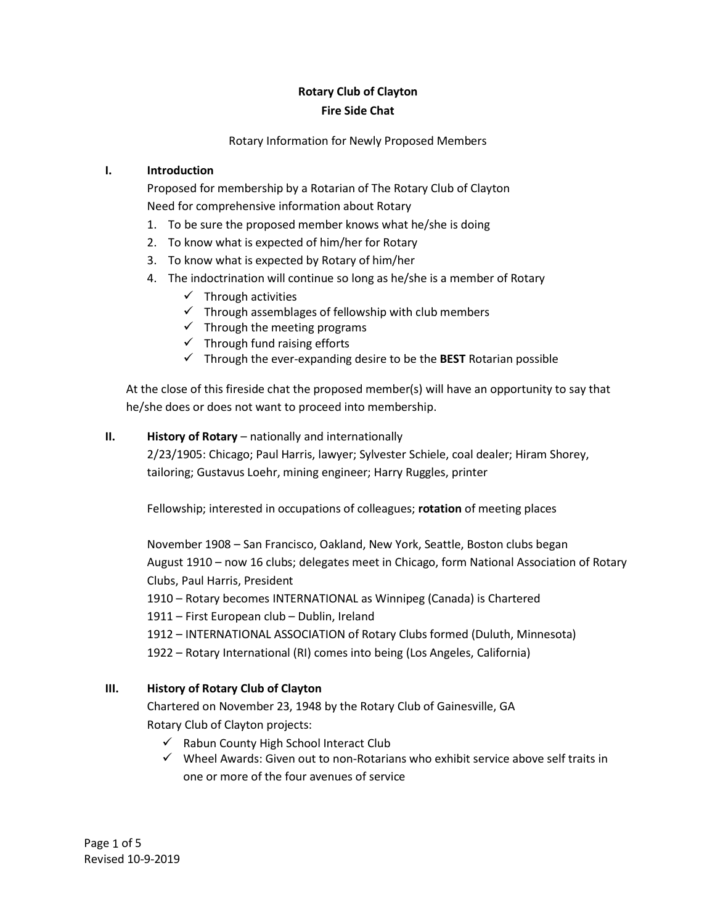# **Rotary Club of Clayton Fire Side Chat**

### Rotary Information for Newly Proposed Members

# **I. Introduction**

Proposed for membership by a Rotarian of The Rotary Club of Clayton Need for comprehensive information about Rotary

- 1. To be sure the proposed member knows what he/she is doing
- 2. To know what is expected of him/her for Rotary
- 3. To know what is expected by Rotary of him/her
- 4. The indoctrination will continue so long as he/she is a member of Rotary
	- $\checkmark$  Through activities
	- $\checkmark$  Through assemblages of fellowship with club members
	- $\checkmark$  Through the meeting programs
	- $\checkmark$  Through fund raising efforts
	- ✓ Through the ever-expanding desire to be the **BEST** Rotarian possible

At the close of this fireside chat the proposed member(s) will have an opportunity to say that he/she does or does not want to proceed into membership.

# **II. History of Rotary** – nationally and internationally

2/23/1905: Chicago; Paul Harris, lawyer; Sylvester Schiele, coal dealer; Hiram Shorey, tailoring; Gustavus Loehr, mining engineer; Harry Ruggles, printer

Fellowship; interested in occupations of colleagues; **rotation** of meeting places

November 1908 – San Francisco, Oakland, New York, Seattle, Boston clubs began August 1910 – now 16 clubs; delegates meet in Chicago, form National Association of Rotary Clubs, Paul Harris, President

1910 – Rotary becomes INTERNATIONAL as Winnipeg (Canada) is Chartered

1911 – First European club – Dublin, Ireland

1912 – INTERNATIONAL ASSOCIATION of Rotary Clubs formed (Duluth, Minnesota)

1922 – Rotary International (RI) comes into being (Los Angeles, California)

# **III. History of Rotary Club of Clayton**

Chartered on November 23, 1948 by the Rotary Club of Gainesville, GA Rotary Club of Clayton projects:

- ✓ Rabun County High School Interact Club
- $\checkmark$  Wheel Awards: Given out to non-Rotarians who exhibit service above self traits in one or more of the four avenues of service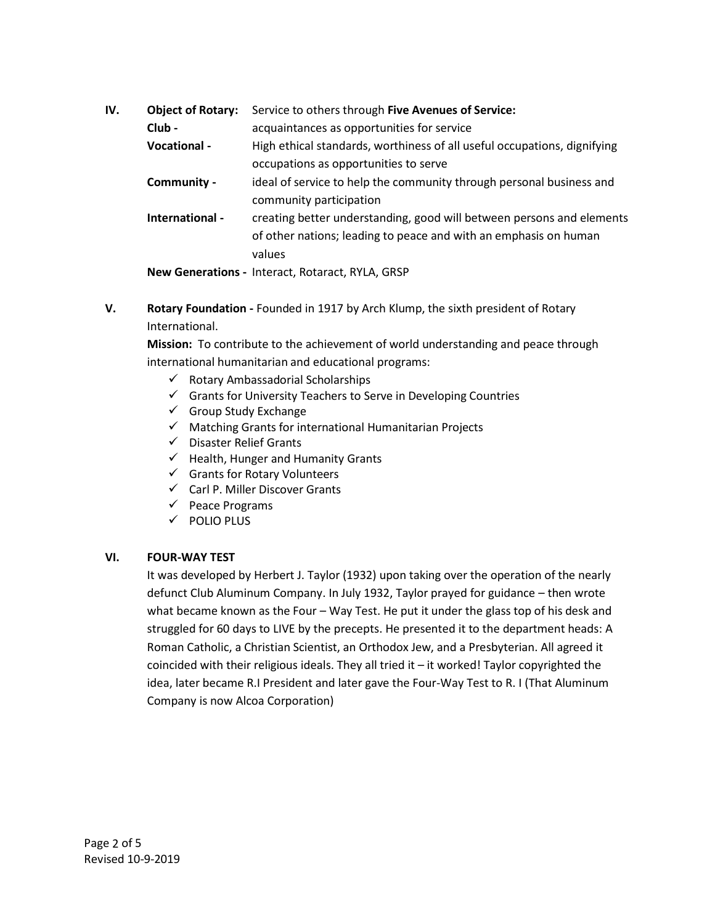| IV. | <b>Object of Rotary:</b> | Service to others through Five Avenues of Service:                       |
|-----|--------------------------|--------------------------------------------------------------------------|
|     | Club -                   | acquaintances as opportunities for service                               |
|     | Vocational -             | High ethical standards, worthiness of all useful occupations, dignifying |
|     |                          | occupations as opportunities to serve                                    |
|     | Community -              | ideal of service to help the community through personal business and     |
|     |                          | community participation                                                  |
|     | International -          | creating better understanding, good will between persons and elements    |
|     |                          | of other nations; leading to peace and with an emphasis on human         |
|     |                          | values                                                                   |
|     |                          | Now Conorations Interact Potaract DVIA CDCD                              |

**New Generations -** Interact, Rotaract, RYLA, GRSP

**V. Rotary Foundation -** Founded in 1917 by Arch Klump, the sixth president of Rotary International.

**Mission:** To contribute to the achievement of world understanding and peace through international humanitarian and educational programs:

- ✓ Rotary Ambassadorial Scholarships
- ✓ Grants for University Teachers to Serve in Developing Countries
- $\checkmark$  Group Study Exchange
- $\checkmark$  Matching Grants for international Humanitarian Projects
- ✓ Disaster Relief Grants
- $\checkmark$  Health, Hunger and Humanity Grants
- ✓ Grants for Rotary Volunteers
- $\checkmark$  Carl P. Miller Discover Grants
- ✓ Peace Programs
- ✓ POLIO PLUS

# **VI. FOUR-WAY TEST**

It was developed by Herbert J. Taylor (1932) upon taking over the operation of the nearly defunct Club Aluminum Company. In July 1932, Taylor prayed for guidance – then wrote what became known as the Four – Way Test. He put it under the glass top of his desk and struggled for 60 days to LIVE by the precepts. He presented it to the department heads: A Roman Catholic, a Christian Scientist, an Orthodox Jew, and a Presbyterian. All agreed it coincided with their religious ideals. They all tried it  $-$  it worked! Taylor copyrighted the idea, later became R.I President and later gave the Four-Way Test to R. I (That Aluminum Company is now Alcoa Corporation)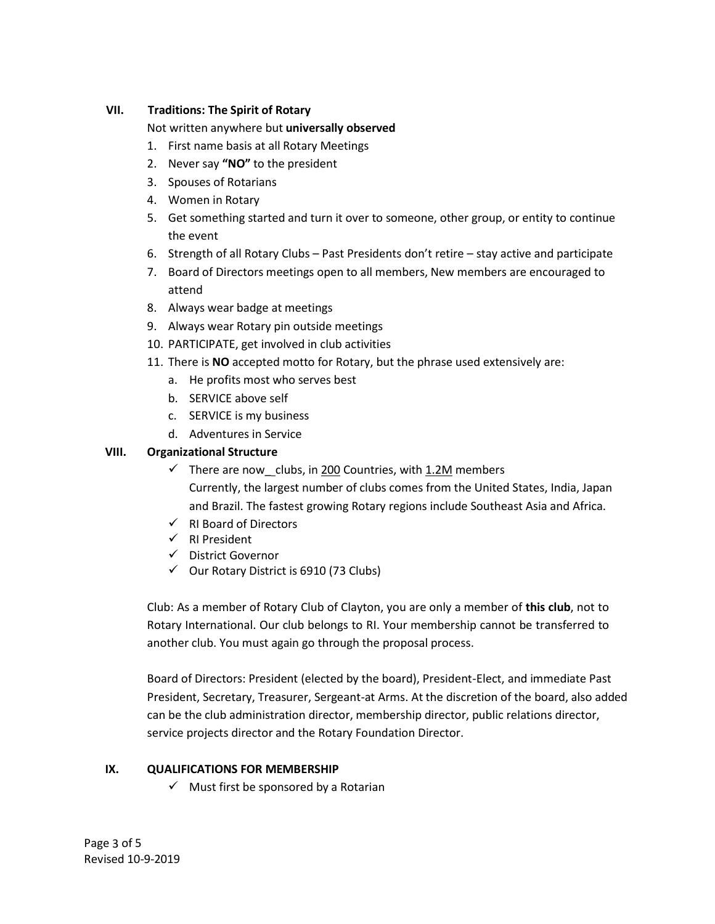# **VII. Traditions: The Spirit of Rotary**

Not written anywhere but **universally observed**

- 1. First name basis at all Rotary Meetings
- 2. Never say **"NO"** to the president
- 3. Spouses of Rotarians
- 4. Women in Rotary
- 5. Get something started and turn it over to someone, other group, or entity to continue the event
- 6. Strength of all Rotary Clubs Past Presidents don't retire stay active and participate
- 7. Board of Directors meetings open to all members, New members are encouraged to attend
- 8. Always wear badge at meetings
- 9. Always wear Rotary pin outside meetings
- 10. PARTICIPATE, get involved in club activities
- 11. There is **NO** accepted motto for Rotary, but the phrase used extensively are:
	- a. He profits most who serves best
	- b. SERVICE above self
	- c. SERVICE is my business
	- d. Adventures in Service

# **VIII. Organizational Structure**

- $\checkmark$  There are now clubs, in 200 Countries, with 1.2M members Currently, the largest number of clubs comes from the United States, India, Japan and Brazil. The fastest growing Rotary regions include Southeast Asia and Africa.
- ✓ RI Board of Directors
- ✓ RI President
- ✓ District Governor
- $\checkmark$  Our Rotary District is 6910 (73 Clubs)

Club: As a member of Rotary Club of Clayton, you are only a member of **this club**, not to Rotary International. Our club belongs to RI. Your membership cannot be transferred to another club. You must again go through the proposal process.

Board of Directors: President (elected by the board), President-Elect, and immediate Past President, Secretary, Treasurer, Sergeant-at Arms. At the discretion of the board, also added can be the club administration director, membership director, public relations director, service projects director and the Rotary Foundation Director.

# **IX. QUALIFICATIONS FOR MEMBERSHIP**

 $\checkmark$  Must first be sponsored by a Rotarian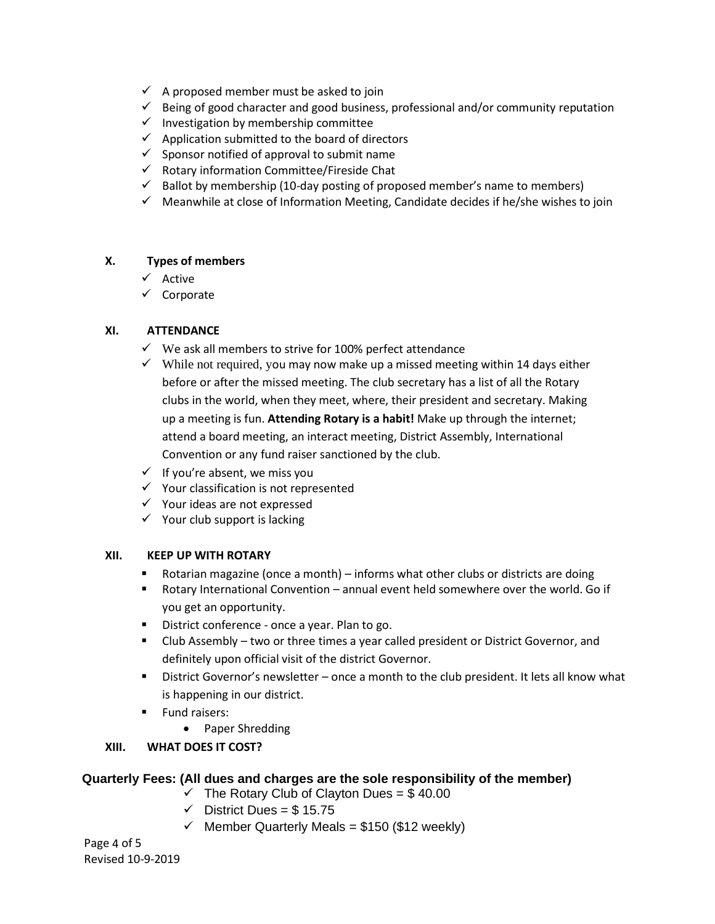- $\checkmark$  A proposed member must be asked to join
- $\checkmark$  Being of good character and good business, professional and/or community reputation
- $\checkmark$  Investigation by membership committee
- $\checkmark$  Application submitted to the board of directors
- $\checkmark$  Sponsor notified of approval to submit name
- ✓ Rotary information Committee/Fireside Chat
- $\checkmark$  Ballot by membership (10-day posting of proposed member's name to members)
- $\checkmark$  Meanwhile at close of Information Meeting, Candidate decides if he/she wishes to join

#### **X. Types of members**

- ✓ Active
- ✓ Corporate

### **XI. ATTENDANCE**

- $\checkmark$  We ask all members to strive for 100% perfect attendance
- $\checkmark$  While not required, you may now make up a missed meeting within 14 days either before or after the missed meeting. The club secretary has a list of all the Rotary clubs in the world, when they meet, where, their president and secretary. Making up a meeting is fun. **Attending Rotary is a habit!** Make up through the internet; attend a board meeting, an interact meeting, District Assembly, International Convention or any fund raiser sanctioned by the club.
- $\checkmark$  If you're absent, we miss you
- ✓ Your classification is not represented
- ✓ Your ideas are not expressed
- $\checkmark$  Your club support is lacking

#### **XII. KEEP UP WITH ROTARY**

- Rotarian magazine (once a month) informs what other clubs or districts are doing
- Rotary International Convention annual event held somewhere over the world. Go if you get an opportunity.
- District conference once a year. Plan to go.
- Club Assembly two or three times a year called president or District Governor, and definitely upon official visit of the district Governor.
- District Governor's newsletter once a month to the club president. It lets all know what is happening in our district.
- Fund raisers:
	- Paper Shredding

# **XIII. WHAT DOES IT COST?**

# **Quarterly Fees: (All dues and charges are the sole responsibility of the member)**

- $\checkmark$  The Rotary Club of Clayton Dues = \$40.00
- $\checkmark$  District Dues = \$15.75
- $\checkmark$  Member Quarterly Meals = \$150 (\$12 weekly)